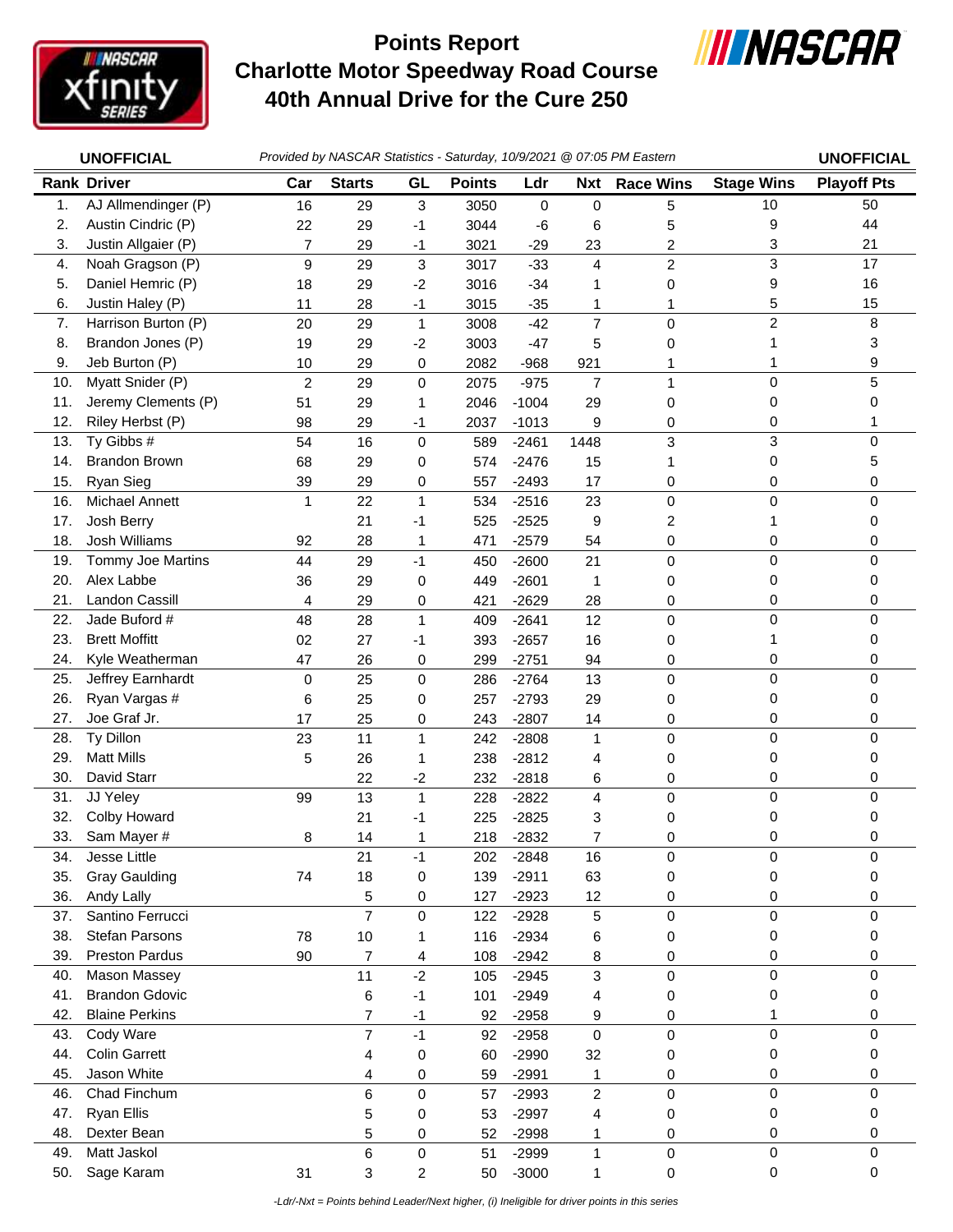

## **Charlotte Motor Speedway Road Course 40th Annual Drive for the Cure 250 Points Report**



|            | <b>UNOFFICIAL</b>                  | Provided by NASCAR Statistics - Saturday, 10/9/2021 @ 07:05 PM Eastern |                                  |                  |               |                    |                     | <b>UNOFFICIAL</b> |                     |                    |
|------------|------------------------------------|------------------------------------------------------------------------|----------------------------------|------------------|---------------|--------------------|---------------------|-------------------|---------------------|--------------------|
|            | <b>Rank Driver</b>                 | Car                                                                    | <b>Starts</b>                    | GL               | <b>Points</b> | Ldr                | <b>Nxt</b>          | <b>Race Wins</b>  | <b>Stage Wins</b>   | <b>Playoff Pts</b> |
| 1.         | AJ Allmendinger (P)                | 16                                                                     | 29                               | $\sqrt{3}$       | 3050          | 0                  | $\mathbf 0$         | 5                 | 10                  | 50                 |
| 2.         | Austin Cindric (P)                 | 22                                                                     | 29                               | -1               | 3044          | -6                 | 6                   | 5                 | 9                   | 44                 |
| 3.         | Justin Allgaier (P)                | $\overline{7}$                                                         | 29                               | $-1$             | 3021          | $-29$              | 23                  | 2                 | 3                   | 21                 |
| 4.         | Noah Gragson (P)                   | 9                                                                      | 29                               | $\mathbf{3}$     | 3017          | $-33$              | 4                   | $\overline{c}$    | 3                   | 17                 |
| 5.         | Daniel Hemric (P)                  | 18                                                                     | 29                               | $-2$             | 3016          | $-34$              | 1                   | 0                 | 9                   | 16                 |
| 6.         | Justin Haley (P)                   | 11                                                                     | 28                               | $-1$             | 3015          | $-35$              | 1                   | 1                 | 5                   | 15                 |
| 7.         | Harrison Burton (P)                | 20                                                                     | 29                               | $\mathbf{1}$     | 3008          | $-42$              | $\overline{7}$      | $\mathbf 0$       | $\overline{c}$      | 8                  |
| 8.         | Brandon Jones (P)                  | 19                                                                     | 29                               | $-2$             | 3003          | $-47$              | 5                   | 0                 | 1                   | 3                  |
| 9.         | Jeb Burton (P)                     | 10                                                                     | 29                               | 0                | 2082          | $-968$             | 921                 | 1                 | 1                   | 9                  |
| 10.        | Myatt Snider (P)                   | $\overline{2}$                                                         | 29                               | 0                | 2075          | $-975$             | $\overline{7}$      | 1                 | 0                   | 5                  |
| 11.        | Jeremy Clements (P)                | 51                                                                     | 29                               | 1                | 2046          | $-1004$            | 29                  | $\mathbf 0$       | 0                   | 0                  |
| 12.        | Riley Herbst (P)                   | 98                                                                     | 29                               | -1               | 2037          | $-1013$            | 9                   | 0                 | 0                   |                    |
| 13.        | Ty Gibbs #                         | 54                                                                     | 16                               | $\pmb{0}$        | 589           | $-2461$            | 1448                | 3                 | 3                   | 0                  |
| 14.        | <b>Brandon Brown</b>               | 68                                                                     | 29                               | 0                | 574           | $-2476$            | 15                  | 1                 | $\pmb{0}$           | 5                  |
| 15.        | Ryan Sieg                          | 39                                                                     | 29                               | 0                | 557           | $-2493$            | 17                  | 0                 | 0                   | 0                  |
| 16.        | Michael Annett                     | 1                                                                      | 22                               | $\mathbf{1}$     | 534           | $-2516$            | 23                  | 0                 | $\mathsf 0$         | 0                  |
| 17.        | Josh Berry                         |                                                                        | 21                               | $-1$             | 525           | $-2525$            | 9                   | 2                 | 1                   | 0                  |
| 18.        | Josh Williams                      | 92                                                                     | 28                               | 1                | 471           | $-2579$            | 54                  | 0                 | 0                   | 0                  |
| 19.        | Tommy Joe Martins                  | 44                                                                     | 29                               | $-1$             | 450           | $-2600$            | 21                  | $\mathbf 0$       | 0                   | $\mathbf 0$        |
| 20.        | Alex Labbe                         | 36                                                                     | 29                               | 0                | 449           | $-2601$            | 1                   | 0                 | 0                   | 0                  |
| 21.        | <b>Landon Cassill</b>              | 4                                                                      | 29                               | 0                | 421           | $-2629$            | 28                  | 0                 | 0                   | 0                  |
| 22.        | Jade Buford #                      | 48                                                                     | 28                               | $\mathbf{1}$     | 409           | $-2641$            | 12                  | 0                 | 0                   | $\mathbf 0$        |
| 23.        | <b>Brett Moffitt</b>               | 02                                                                     | 27                               | -1               | 393           | $-2657$            | 16                  | 0                 | 1                   | 0                  |
| 24.        | Kyle Weatherman                    | 47                                                                     | 26                               | 0                | 299           | $-2751$            | 94                  | 0                 | 0                   | 0                  |
| 25.        | Jeffrey Earnhardt                  | 0                                                                      | 25                               | 0                | 286           | $-2764$            | 13                  | $\mathbf 0$       | 0                   | 0                  |
| 26.        | Ryan Vargas #                      | 6                                                                      | 25                               | 0                | 257           | $-2793$            | 29                  | 0                 | 0                   | 0                  |
| 27.        | Joe Graf Jr.                       | 17                                                                     | 25                               | 0                | 243           | $-2807$            | 14                  | 0                 | 0                   | 0                  |
| 28.        | Ty Dillon                          | 23                                                                     | 11                               | $\mathbf{1}$     | 242           | $-2808$            | $\mathbf{1}$        | $\mathbf 0$       | 0                   | $\Omega$           |
| 29.        | <b>Matt Mills</b>                  | 5                                                                      | 26                               | 1                | 238           | $-2812$            | 4                   | 0                 | 0                   | 0                  |
| 30.        | David Starr                        |                                                                        | 22                               | $-2$             | 232           | $-2818$            | 6                   | 0                 | 0                   | 0                  |
| 31.        | JJ Yeley                           | 99                                                                     | 13                               | $\mathbf{1}$     | 228           | $-2822$            | 4                   | 0                 | $\mathsf 0$         | 0                  |
| 32.        | Colby Howard                       |                                                                        | 21                               | -1               | 225           | $-2825$            | 3                   | 0                 | 0                   | 0                  |
| 33.        | Sam Mayer #                        | 8                                                                      | 14                               | 1                | 218           | $-2832$            | 7                   | 0                 | 0                   | 0                  |
| 34.        | Jesse Little                       |                                                                        | 21                               | $-1$             | 202           | $-2848$            | 16                  | 0                 | 0                   | 0                  |
| 35.        | <b>Gray Gaulding</b>               | 74                                                                     | 18                               | 0                | 139           | $-2911$            | 63                  | 0                 | 0                   | 0                  |
| 36.        | Andy Lally                         |                                                                        | 5                                | 0                | 127           | $-2923$            | 12                  | 0                 | 0                   | 0                  |
| 37.        | Santino Ferrucci<br>Stefan Parsons |                                                                        | $\overline{7}$                   | $\mathbf 0$      | 122           | $-2928$            | 5                   | 0                 | $\mathbf 0$         | $\mathbf 0$        |
| 38.<br>39. | <b>Preston Pardus</b>              | 78                                                                     | 10<br>$\overline{7}$             | 1                | 116           | $-2934$            | 6                   | 0                 | 0<br>0              | 0<br>0             |
| 40.        | Mason Massey                       | 90                                                                     | 11                               | 4<br>$-2$        | 108           | $-2942$<br>$-2945$ | 8<br>3              | 0                 | 0                   | 0                  |
| 41.        | <b>Brandon Gdovic</b>              |                                                                        |                                  | $-1$             | 105           |                    |                     | 0                 |                     | 0                  |
|            | <b>Blaine Perkins</b>              |                                                                        | 6                                |                  | 101           | $-2949$            | 4                   | 0                 | 0                   |                    |
| 42.<br>43. | Cody Ware                          |                                                                        | $\overline{7}$<br>$\overline{7}$ | $-1$<br>$-1$     | 92<br>92      | $-2958$<br>$-2958$ | 9<br>$\mathbf 0$    | 0<br>0            | 1<br>0              | 0<br>$\Omega$      |
| 44.        | <b>Colin Garrett</b>               |                                                                        |                                  | 0                | 60            | $-2990$            | 32                  | 0                 | 0                   | 0                  |
| 45.        | Jason White                        |                                                                        | 4                                |                  | 59            | $-2991$            |                     |                   | 0                   | 0                  |
| 46.        | Chad Finchum                       |                                                                        | 4<br>6                           | 0<br>$\mathbf 0$ | 57            | $-2993$            | 1<br>$\overline{c}$ | 0<br>0            | 0                   | $\Omega$           |
| 47.        | Ryan Ellis                         |                                                                        | 5                                | 0                | 53            | $-2997$            | 4                   | 0                 | 0                   | 0                  |
| 48.        | Dexter Bean                        |                                                                        | 5                                | 0                | 52            | $-2998$            | 1                   | 0                 | 0                   | 0                  |
| 49.        | Matt Jaskol                        |                                                                        | $\,6$                            | $\pmb{0}$        | 51            | $-2999$            | $\mathbf{1}$        | $\pmb{0}$         | $\mathsf{O}\xspace$ | $\mathbf 0$        |
| 50.        | Sage Karam                         | 31                                                                     | 3                                | 2                | 50            | $-3000$            | 1                   | 0                 | 0                   | $\mathbf 0$        |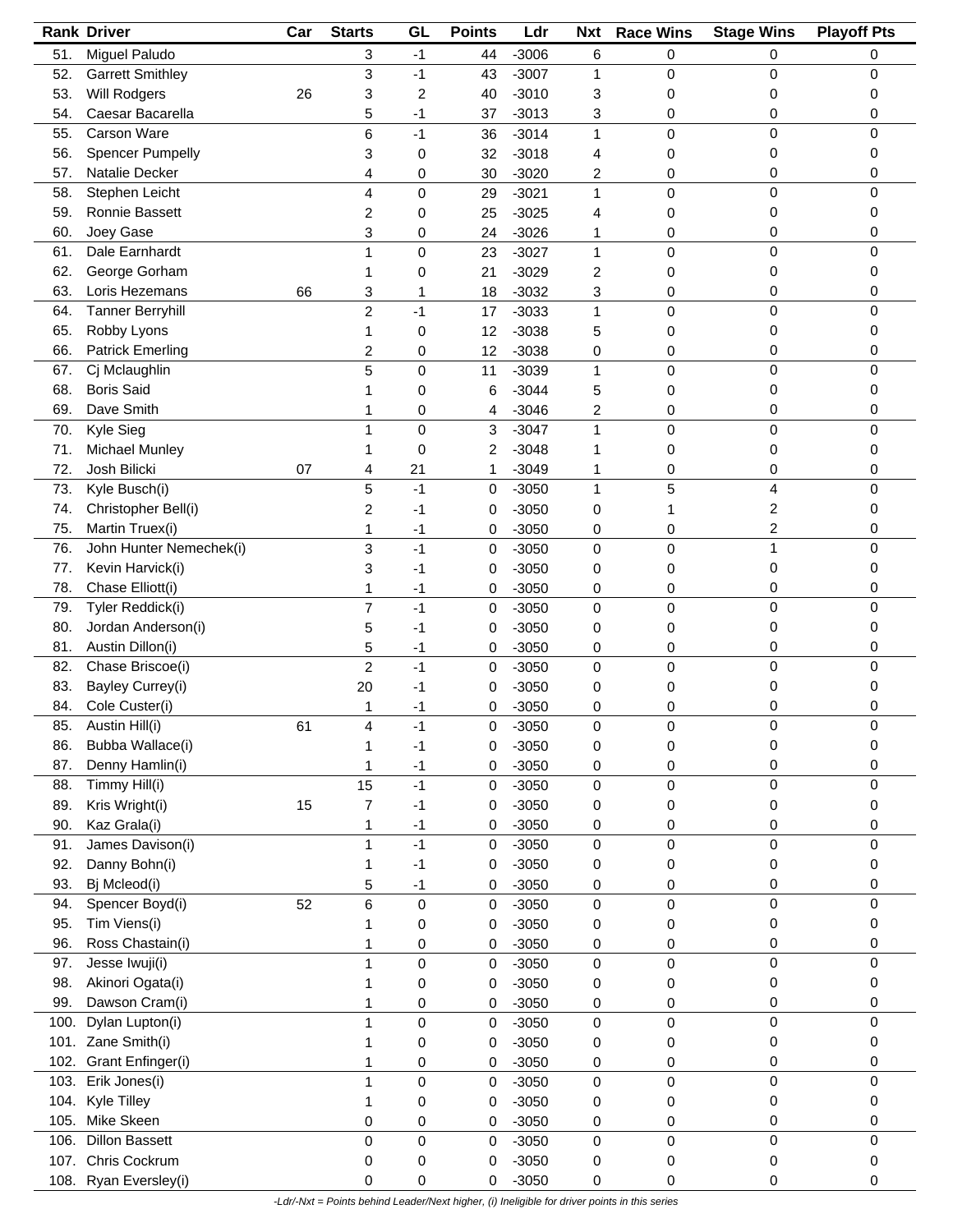|      | <b>Rank Driver</b>      | Car | <b>Starts</b>  | GL   | <b>Points</b> | Ldr     | <b>Nxt</b>   | <b>Race Wins</b> | <b>Stage Wins</b> | <b>Playoff Pts</b> |
|------|-------------------------|-----|----------------|------|---------------|---------|--------------|------------------|-------------------|--------------------|
| 51.  | Miguel Paludo           |     | 3              | $-1$ | 44            | $-3006$ | 6            | 0                | 0                 | 0                  |
| 52.  | <b>Garrett Smithley</b> |     | 3              | $-1$ | 43            | $-3007$ | 1            | 0                | 0                 | 0                  |
| 53.  | Will Rodgers            | 26  | 3              | 2    | 40            | $-3010$ | 3            | 0                | 0                 | 0                  |
| 54.  | Caesar Bacarella        |     | 5              | -1   | 37            | $-3013$ | 3            | 0                | 0                 | 0                  |
| 55.  | Carson Ware             |     | 6              | $-1$ | 36            | $-3014$ | 1            | 0                | 0                 | 0                  |
| 56.  | <b>Spencer Pumpelly</b> |     | 3              | 0    | 32            | $-3018$ | 4            | 0                | 0                 | 0                  |
| 57.  | Natalie Decker          |     |                |      |               | $-3020$ |              |                  | 0                 | 0                  |
|      |                         |     | 4              | 0    | 30            |         | 2            | 0                | 0                 | 0                  |
| 58.  | Stephen Leicht          |     | 4              | 0    | 29            | $-3021$ | 1            | 0                |                   |                    |
| 59.  | Ronnie Bassett          |     | 2              | 0    | 25            | $-3025$ | 4            | 0                | 0                 | 0                  |
| 60.  | Joey Gase               |     | 3              | 0    | 24            | $-3026$ | 1            | 0                | 0                 | 0                  |
| 61.  | Dale Earnhardt          |     | 1              | 0    | 23            | $-3027$ | $\mathbf{1}$ | 0                | 0                 | 0                  |
| 62.  | George Gorham           |     | 1              | 0    | 21            | $-3029$ | 2            | 0                | 0                 | 0                  |
| 63.  | Loris Hezemans          | 66  | 3              | 1    | 18            | $-3032$ | 3            | 0                | 0                 | 0                  |
| 64.  | <b>Tanner Berryhill</b> |     | $\overline{c}$ | -1   | 17            | $-3033$ | 1            | 0                | 0                 | 0                  |
| 65.  | Robby Lyons             |     | 1              | 0    | 12            | $-3038$ | 5            | 0                | 0                 | 0                  |
| 66.  | <b>Patrick Emerling</b> |     | 2              | 0    | 12            | $-3038$ | 0            | 0                | 0                 | 0                  |
| 67.  | Cj Mclaughlin           |     | 5              | 0    | 11            | $-3039$ | $\mathbf{1}$ | 0                | 0                 | 0                  |
| 68.  | <b>Boris Said</b>       |     |                | 0    | 6             | $-3044$ | 5            | 0                | 0                 | 0                  |
| 69.  | Dave Smith              |     |                | 0    | 4             | $-3046$ | 2            | 0                | 0                 | 0                  |
| 70.  | Kyle Sieg               |     | 1              | 0    | 3             | $-3047$ | $\mathbf{1}$ | 0                | 0                 | 0                  |
|      |                         |     |                |      |               |         |              |                  |                   |                    |
| 71.  | Michael Munley          |     | 1              | 0    | 2             | $-3048$ | 1            | 0                | 0                 | 0                  |
| 72.  | Josh Bilicki            | 07  | 4              | 21   | 1             | $-3049$ | 1            | 0                | 0                 | 0                  |
| 73.  | Kyle Busch(i)           |     | 5              | $-1$ | 0             | $-3050$ | 1            | 5                | 4                 | 0                  |
| 74.  | Christopher Bell(i)     |     | 2              | $-1$ | 0             | $-3050$ | 0            | 1                | 2                 | 0                  |
| 75.  | Martin Truex(i)         |     | 1              | $-1$ | 0             | $-3050$ | 0            | 0                | 2                 | 0                  |
| 76.  | John Hunter Nemechek(i) |     | 3              | $-1$ | 0             | $-3050$ | 0            | 0                | 1                 | 0                  |
| 77.  | Kevin Harvick(i)        |     | 3              | -1   | 0             | $-3050$ | 0            | 0                | 0                 | 0                  |
| 78.  | Chase Elliott(i)        |     | 1              | $-1$ | 0             | $-3050$ | 0            | 0                | 0                 | 0                  |
| 79.  | Tyler Reddick(i)        |     | 7              | $-1$ | 0             | $-3050$ | 0            | 0                | 0                 | 0                  |
| 80.  | Jordan Anderson(i)      |     | 5              | -1   | 0             | $-3050$ | 0            | 0                | 0                 | 0                  |
| 81.  | Austin Dillon(i)        |     | 5              | $-1$ | 0             | $-3050$ | 0            | 0                | 0                 | 0                  |
| 82.  | Chase Briscoe(i)        |     | 2              | $-1$ | 0             | $-3050$ | 0            | 0                | 0                 | 0                  |
| 83.  | Bayley Currey(i)        |     | 20             | -1   | 0             | $-3050$ | 0            | 0                | 0                 | 0                  |
|      |                         |     |                |      |               |         |              |                  |                   |                    |
| 84.  | Cole Custer(i)          |     | 1              | -1   | 0             | $-3050$ | 0            | 0                | 0                 | 0                  |
| 85.  | Austin Hill(i)          | 61  |                | $-1$ | 0             | $-3050$ | 0            | 0                | 0                 |                    |
| 86.  | Bubba Wallace(i)        |     |                | -1   | 0             | $-3050$ | 0            | 0                | 0                 | 0                  |
| 87.  | Denny Hamlin(i)         |     |                | $-1$ | 0             | $-3050$ | 0            | 0                | 0                 | 0                  |
| 88.  | Timmy Hill(i)           |     | 15             | $-1$ | 0             | $-3050$ | $\pmb{0}$    | 0                | 0                 | 0                  |
| 89.  | Kris Wright(i)          | 15  | 7              | $-1$ | 0             | $-3050$ | 0            | 0                | 0                 | 0                  |
| 90.  | Kaz Grala(i)            |     | 1              | $-1$ | 0             | $-3050$ | 0            | 0                | 0                 | 0                  |
| 91.  | James Davison(i)        |     | 1              | $-1$ | 0             | $-3050$ | 0            | 0                | 0                 | 0                  |
| 92.  | Danny Bohn(i)           |     | 1              | $-1$ | 0             | $-3050$ | 0            | 0                | 0                 | 0                  |
| 93.  | Bj Mcleod(i)            |     | 5              | $-1$ | 0             | $-3050$ | 0            | 0                | 0                 | 0                  |
| 94.  | Spencer Boyd(i)         | 52  | 6              | 0    | 0             | $-3050$ | 0            | 0                | 0                 | 0                  |
| 95.  | Tim Viens(i)            |     |                | 0    | 0             | $-3050$ | 0            | 0                | 0                 | 0                  |
| 96.  | Ross Chastain(i)        |     | 1              | 0    | 0             | $-3050$ | 0            | 0                | 0                 | 0                  |
| 97.  | Jesse Iwuji(i)          |     | 1              |      |               | $-3050$ |              |                  | 0                 | 0                  |
|      |                         |     |                | 0    | 0             |         | 0            | 0                |                   |                    |
| 98.  | Akinori Ogata(i)        |     | 1              | 0    | 0             | $-3050$ | 0            | 0                | 0                 | 0                  |
| 99.  | Dawson Cram(i)          |     | 1              | 0    | 0             | $-3050$ | 0            | 0                | 0                 | 0                  |
| 100. | Dylan Lupton(i)         |     | 1              | 0    | 0             | $-3050$ | 0            | 0                | 0                 | 0                  |
|      | 101. Zane Smith(i)      |     |                | 0    | 0             | $-3050$ | 0            | 0                | 0                 | 0                  |
| 102. | Grant Enfinger(i)       |     | 1              | 0    | 0             | $-3050$ | 0            | 0                | 0                 | 0                  |
| 103. | Erik Jones(i)           |     | 1              | 0    | 0             | $-3050$ | $\mathbf 0$  | 0                | 0                 | 0                  |
| 104. | Kyle Tilley             |     | 1              | 0    | 0             | $-3050$ | 0            | 0                | 0                 | 0                  |
| 105. | Mike Skeen              |     | 0              | 0    | 0             | $-3050$ | 0            | 0                | 0                 | 0                  |
| 106. | <b>Dillon Bassett</b>   |     | 0              | 0    | 0             | $-3050$ | $\pmb{0}$    | 0                | 0                 | 0                  |
| 107. | Chris Cockrum           |     | 0              | 0    | 0             | $-3050$ | 0            | 0                | 0                 | 0                  |
| 108. | Ryan Eversley(i)        |     | 0              | 0    | 0             | $-3050$ | 0            | 0                | 0                 | 0                  |
|      |                         |     |                |      |               |         |              |                  |                   |                    |